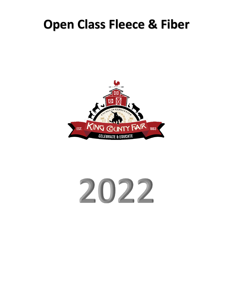# **Open Class Fleece & Fiber**



# 2022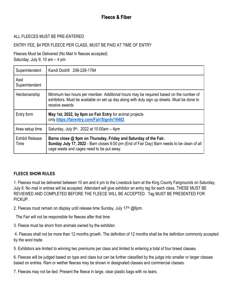# ALL FLEECES MUST BE PRE-ENTERED

# ENTRY FEE, \$4 PER FLEECE PER CLASS, MUST BE PAID AT TIME OF ENTRY

Fleeces Must be Delivered (No Mail In fleeces accepted) Saturday, July 9, 10 am – 4 pm

| Superintendent                 | Kandi Dodrill 206-226-1784                                                                                                                                                                                 |
|--------------------------------|------------------------------------------------------------------------------------------------------------------------------------------------------------------------------------------------------------|
| Asst<br>Superintendent         |                                                                                                                                                                                                            |
| Herdsmanship                   | Minimum two hours per member. Additional hours may be required based on the number of<br>exhibitors. Must be available on set up day along with duty sign up sheets. Must be done to<br>receive awards     |
| Entry form                     | May 1st, 2022, by 6pm on Fair Entry for animal projects<br>only.https://fairentry.com/Fair/SignIn/16482                                                                                                    |
| Area setup time                | Saturday, July 9 <sup>th</sup> , 2022 at 10:00am $-$ 4pm                                                                                                                                                   |
| <b>Exhibit Release</b><br>Time | Barns close @ 9pm on Thursday, Friday and Saturday of the Fair.<br>Sunday July 17, 2022 - Barn closes 6:00 pm (End of Fair Day) Barn needs to be clean of all<br>cage waste and cages need to be put away. |

#### **FLEECE SHOW RULES**

1. Fleeces must be delivered between 10 am and 4 pm to the Livestock barn at the King County Fairgrounds on Saturday, July 9. No mail in entries will be accepted. Attendant will give exhibitor an entry tag for each class. THESE MUST BE REVIEWED AND COMPLETED BEFORE THE FLEECE WILL BE ACCEPTED. Tag MUST BE PRESENTED FOR PICKUP.

2. Fleeces must remain on display until release time Sunday, July 17<sup>th</sup> @6pm.

The Fair will not be responsible for fleeces after that time.

3. Fleece must be shorn from animals owned by the exhibitor.

4. Fleeces shall not be more than 12 months growth. The definition of 12 months shall be the definition commonly accepted by the wool trade.

5. Exhibitors are limited to winning two premiums per class and limited to entering a total of four breed classes.

6. Fleeces will be judged based on type and class but can be further classified by the judge into smaller or larger classes based on entries. Ram or wether fleeces may be shown in designated classes and commercial classes.

7. Fleeces may not be tied. Present the fleece in large, clear plastic bags with no tears.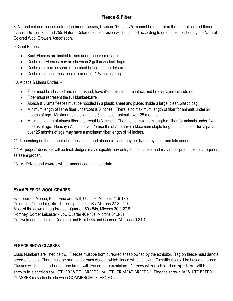# **Fleece & Fiber**

8. Natural colored fleeces entered in breed classes, Division 750 and 751 cannot be entered in the natural colored fleece classes Division 753 and 755. Natural Colored fleece division will be judged according to criteria established by the Natural Colored Wool Growers Association.

9. Goat Entries –

- Buck Fleeces are limited to kids under one year of age.
- Cashmere Fleeces may be shown in 2 gallon zip-lock bags.
- Cashmere may be shorn or combed but cannot be dehaired.
- Cashmere fleece must be a minimum of 1  $\frac{1}{4}$  inches long.

10. Alpaca & Llama Entries –

- Fiber must be sheared and not brushed, have it's locks structure intact, and be displayed cut side out.
- Fiber must represent the full blanket/barrel.
- Alpaca & Lllama fleeces must be noodled in a plastic sheet and placed inside a large, clear, plastic bag.
- Minimum length of llama fiber undercoat is 3 inches. There is no maximum length of fiber for animals under 24 months of age. Maximum staple length is 8 inches on animals over 25 months.
- Minimum length of alpaca fiber undercoat is 3 inches. There is no maximum length of fiber for animals under 24 months of age. Huacaya Alpacas over 25 months of age have a Maximum staple length of 8 inches. Suri alpacas over 25 months of age may have a maximum fiber length of 14 inches.
- 11. Depending on the number of entries, llama and alpaca classes may be divided by color and lots added.

12. All judges' decisions will be final. Judges may disqualify any entry for just cause, and may reassign entries to categories, as seem proper.

13. All Prizes and Awards will be announced at a later date.

# **EXAMPLES OF WOOL GRADES**

Rambouillet, Merino, Etc. - Fine and Half, 60s-80s, Microns 24.9-17.7 Columbia, Corriedale, etc - Three-eights, 56s-58s, Microns 27.8-24.9 Most of the down (meat) breeds - Quarter, 50s-54s, Microns 30.9-27.8 Romney, Border Leicester - Low Quarter 46s-48s, Microns 34.3-31 Cotswold and Lincholn – Common and Braid 44s and Coarser, Microns 40-34.4

# **FLEECE SHOW CLASSES**

Class Numbers are listed below. Fleeces must be from purebred sheep owned by the exhibitor. Tag on fleece must denote breed of sheep. There must be one tag for each class in which fleece will be shown. Classification will be based on breed. Classes will be established for any breed with two or more exhibitors. Fleeces with no breed competition will be shown in a section for "OTHER WOOL BREEDS" or "OTHER MEAT BREEDS." Fleeces shown in WHITE BREED CLASSES may also be shown in COMMERCIAL FLEECE Classes.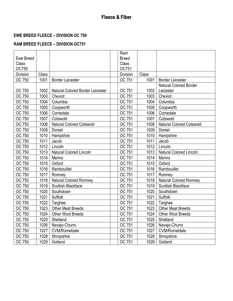# **EWE BREED FLEECE – DIVISION OC 750**

# **RAM BREED FLEECE – DIVISION OC751**

|              |       |                                  | Ram             |       |                                 |
|--------------|-------|----------------------------------|-----------------|-------|---------------------------------|
| Ewe Breed    |       |                                  | <b>Breed</b>    |       |                                 |
| Class        |       |                                  | Class           |       |                                 |
| <b>OC750</b> |       |                                  | OC751           |       |                                 |
| Division     | Class |                                  | <b>Division</b> | Class |                                 |
| OC 750       | 1001  | <b>Border Leicester</b>          | OC 751          | 1001  | <b>Border Leicester</b>         |
|              |       |                                  |                 |       | <b>Natural Colored Border</b>   |
| OC 750       | 1002  | Natural Colored Border Leicester | OC 751          | 1002  | Leicester                       |
| OC 750       | 1003  | Cheviot                          | OC 751          | 1003  | Cheviot                         |
| OC 750       | 1004  | Columbia                         | OC 751          | 1004  | Columbia                        |
| OC 750       | 1005  | Coopworth                        | OC 751          | 1005  | Coopworth                       |
| OC 750       | 1006  | Corriedale                       | OC 751          | 1006  | Corriedale                      |
| OC 750       | 1007  | Cotswold                         | OC 751          | 1007  | Cotswold                        |
| OC 750       | 1008  | <b>Natural Colored Cotswold</b>  | OC 751          | 1008  | <b>Natural Colored Cotswold</b> |
| OC 750       | 1009  | Dorset                           | OC 751          | 1009  | Dorset                          |
| OC 750       | 1010  | Hampshire                        | OC 751          | 1010  | Hampshire                       |
| OC 750       | 1011  | Jacob                            | OC 751          | 1011  | Jacob                           |
| OC 750       | 1012  | Lincoln                          | OC 751          | 1012  | Lincoln                         |
| OC 750       | 1013  | <b>Natural Colored Lincoln</b>   | OC 751          | 1013  | <b>Natural Colored Lincoln</b>  |
| OC 750       | 1014  | Merino                           | OC 751          | 1014  | Merino                          |
| OC 750       | 1015  | Oxford                           | OC 751          | 1015  | Oxford                          |
| OC 750       | 1016  | Rambouillet                      | OC 751          | 1016  | Rambouillet                     |
| OC 750       | 1017  | Romney                           | OC 751          | 1017  | Romney                          |
| OC 750       | 1018  | <b>Natural Colored Romney</b>    | OC 751          | 1018  | <b>Natural Colored Romney</b>   |
| OC 750       | 1019  | Scottish Blackface               | OC 751          | 1019  | Scottish Blackface              |
| OC 750       | 1020  | Southdown                        | OC 751          | 1020  | Southdown                       |
| OC 750       | 1021  | Suffolk                          | OC 751          | 1021  | <b>Suffolk</b>                  |
| OC 750       | 1022  | Targhee                          | OC 751          | 1022  | Targhee                         |
| OC 750       | 1023  | <b>Other Meat Breeds</b>         | OC 751          | 1023  | <b>Other Meat Breeds</b>        |
| OC 750       | 1024  | Other Wool Breeds                | OC 751          | 1024  | <b>Other Wool Breeds</b>        |
| OC 750       | 1025  | Shetland                         | OC 751          | 1025  | Shetland                        |
| OC 750       | 1026  | Navajo-Churro                    | OC 751          | 1026  | Navajo-Churro                   |
| OC 750       | 1027  | <b>CVM/Romeldale</b>             | OC 751          | 1027  | <b>CVM/Romeldale</b>            |
| OC 750       | 1028  | Shropshire                       | OC 751          | 1028  | Shropshire                      |
| OC 750       | 1029  | Gotland                          | OC 751          | 1029  | Gotland                         |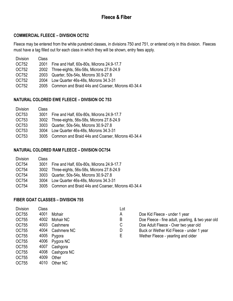# **COMMERCIAL FLEECE – DIVISION OC752**

Fleece may be entered from the white purebred classes, in divisions 750 and 751, or entered only in this division. Fleeces must have a tag filled out for each class in which they will be shown, entry fees apply.

| <b>Division</b> | Class |                                                   |
|-----------------|-------|---------------------------------------------------|
| OC752           | 2001  | Fine and Half, 60s-80s, Microns 24.9-17.7         |
| OC752           |       | 2002 Three-eights, 56s-58s, Microns 27.8-24.9     |
| OC752           |       | 2003 Quarter, 50s-54s, Microns 30.9-27.8          |
| OC752           | 2004  | Low Quarter 46s-48s, Microns 34.3-31              |
| OC752           | 2005  | Common and Braid 44s and Coarser, Microns 40-34.4 |

#### **NATURAL COLORED EWE FLEECE – DIVISION OC 753**

| <b>Division</b> | Class |                                                   |
|-----------------|-------|---------------------------------------------------|
| OC753           | 3001  | Fine and Half, 60s-80s, Microns 24.9-17.7         |
| OC753           |       | 3002 Three-eights, 56s-58s, Microns 27.8-24.9     |
| OC753           |       | 3003 Quarter, 50s-54s, Microns 30.9-27.8          |
| OC753           | 3004  | Low Quarter 46s-48s, Microns 34.3-31              |
| OC753           | 3005  | Common and Braid 44s and Coarser, Microns 40-34.4 |
|                 |       |                                                   |

#### **NATURAL COLORED RAM FLEECE – DIVISION OC754**

| <b>Division</b> | Class |                                                   |
|-----------------|-------|---------------------------------------------------|
| OC754           | 3001  | Fine and Half, 60s-80s, Microns 24.9-17.7         |
| OC754           |       | 3002 Three-eights, 56s-58s, Microns 27.8-24.9     |
| OC754           |       | 3003 Quarter, 50s-54s, Microns 30.9-27.8          |
| OC754           |       | 3004 Low Quarter 46s-48s, Microns 34.3-31         |
| OC754           | 3005  | Common and Braid 44s and Coarser, Microns 40-34.4 |
|                 |       |                                                   |

#### **FIBER GOAT CLASSES – DIVISION 755**

| <b>Division</b> | Class |                | Lot |                                                   |
|-----------------|-------|----------------|-----|---------------------------------------------------|
| OC755           | 4001  | Mohair         | A   | Doe Kid Fleece - under 1 year                     |
| OC755           | 4002  | Mohair NC      | B   | Doe Fleece - fine adult, yearling, & two year old |
| OC755           | 4003  | Cashmere       | С   | Doe Adult Fleece - Over two year old              |
| OC755           | 4004  | Cashmere NC    | D   | Buck or Wether Kid Fleece - under 1 year          |
| OC755           | 4005  | Pygora         | Е   | Wether Fleece - yearling and older                |
| OC755           |       | 4006 Pygora NC |     |                                                   |
| OC755           | 4007  | Cashgora       |     |                                                   |

- OC755 4008 Cashgora NC
- OC755 4009 Other
- OC755 4010 Other NC